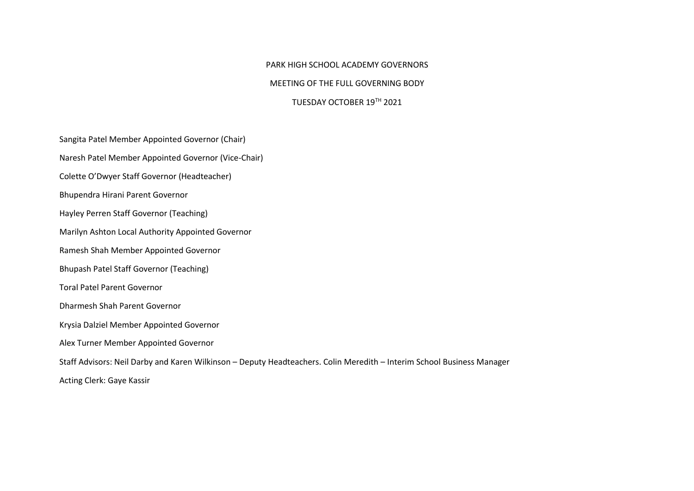## PARK HIGH SCHOOL ACADEMY GOVERNORS

## MEETING OF THE FULL GOVERNING BODY

## TUESDAY OCTOBER 19TH 2021

Sangita Patel Member Appointed Governor (Chair)

Naresh Patel Member Appointed Governor (Vice-Chair)

Colette O'Dwyer Staff Governor (Headteacher)

Bhupendra Hirani Parent Governor

Hayley Perren Staff Governor (Teaching)

Marilyn Ashton Local Authority Appointed Governor

Ramesh Shah Member Appointed Governor

Bhupash Patel Staff Governor (Teaching)

Toral Patel Parent Governor

Dharmesh Shah Parent Governor

Krysia Dalziel Member Appointed Governor

Alex Turner Member Appointed Governor

Staff Advisors: Neil Darby and Karen Wilkinson – Deputy Headteachers. Colin Meredith – Interim School Business Manager

Acting Clerk: Gaye Kassir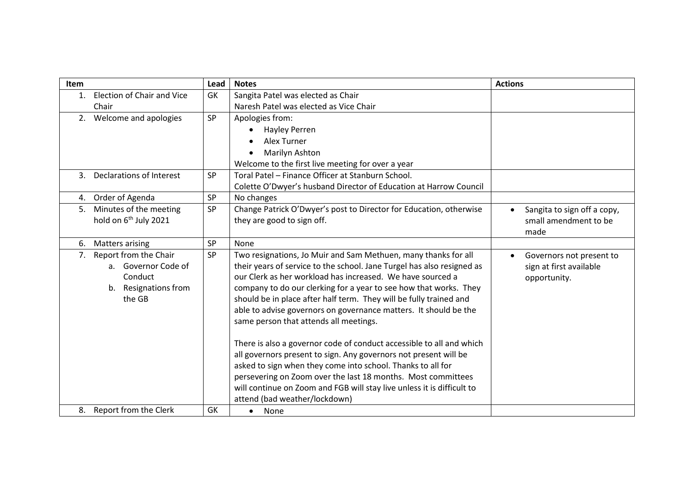| Item |                                                            | Lead      | <b>Notes</b>                                                                                                                                                                                                                                                                                                                                                                                                                                                                                                                                                                                                                                                                                                                   | <b>Actions</b>              |
|------|------------------------------------------------------------|-----------|--------------------------------------------------------------------------------------------------------------------------------------------------------------------------------------------------------------------------------------------------------------------------------------------------------------------------------------------------------------------------------------------------------------------------------------------------------------------------------------------------------------------------------------------------------------------------------------------------------------------------------------------------------------------------------------------------------------------------------|-----------------------------|
| 1.   | <b>Election of Chair and Vice</b>                          | GK        | Sangita Patel was elected as Chair                                                                                                                                                                                                                                                                                                                                                                                                                                                                                                                                                                                                                                                                                             |                             |
|      | Chair                                                      |           | Naresh Patel was elected as Vice Chair                                                                                                                                                                                                                                                                                                                                                                                                                                                                                                                                                                                                                                                                                         |                             |
| 2.   | Welcome and apologies                                      | <b>SP</b> | Apologies from:                                                                                                                                                                                                                                                                                                                                                                                                                                                                                                                                                                                                                                                                                                                |                             |
|      |                                                            |           | <b>Hayley Perren</b><br>$\bullet$                                                                                                                                                                                                                                                                                                                                                                                                                                                                                                                                                                                                                                                                                              |                             |
|      |                                                            |           | Alex Turner                                                                                                                                                                                                                                                                                                                                                                                                                                                                                                                                                                                                                                                                                                                    |                             |
|      |                                                            |           | Marilyn Ashton                                                                                                                                                                                                                                                                                                                                                                                                                                                                                                                                                                                                                                                                                                                 |                             |
|      |                                                            |           | Welcome to the first live meeting for over a year                                                                                                                                                                                                                                                                                                                                                                                                                                                                                                                                                                                                                                                                              |                             |
|      | 3. Declarations of Interest                                | <b>SP</b> | Toral Patel - Finance Officer at Stanburn School.                                                                                                                                                                                                                                                                                                                                                                                                                                                                                                                                                                                                                                                                              |                             |
|      |                                                            |           | Colette O'Dwyer's husband Director of Education at Harrow Council                                                                                                                                                                                                                                                                                                                                                                                                                                                                                                                                                                                                                                                              |                             |
| 4.   | Order of Agenda                                            | <b>SP</b> | No changes                                                                                                                                                                                                                                                                                                                                                                                                                                                                                                                                                                                                                                                                                                                     |                             |
| 5.   | Minutes of the meeting                                     | <b>SP</b> | Change Patrick O'Dwyer's post to Director for Education, otherwise                                                                                                                                                                                                                                                                                                                                                                                                                                                                                                                                                                                                                                                             | Sangita to sign off a copy, |
|      | hold on 6 <sup>th</sup> July 2021                          |           | they are good to sign off.                                                                                                                                                                                                                                                                                                                                                                                                                                                                                                                                                                                                                                                                                                     | small amendment to be       |
|      |                                                            |           |                                                                                                                                                                                                                                                                                                                                                                                                                                                                                                                                                                                                                                                                                                                                | made                        |
| 6.   | <b>Matters arising</b>                                     | <b>SP</b> | None                                                                                                                                                                                                                                                                                                                                                                                                                                                                                                                                                                                                                                                                                                                           |                             |
| 7.   | Report from the Chair                                      | <b>SP</b> | Two resignations, Jo Muir and Sam Methuen, many thanks for all                                                                                                                                                                                                                                                                                                                                                                                                                                                                                                                                                                                                                                                                 | Governors not present to    |
|      | a. Governor Code of                                        |           | their years of service to the school. Jane Turgel has also resigned as                                                                                                                                                                                                                                                                                                                                                                                                                                                                                                                                                                                                                                                         | sign at first available     |
|      | Conduct                                                    |           |                                                                                                                                                                                                                                                                                                                                                                                                                                                                                                                                                                                                                                                                                                                                | opportunity.                |
|      |                                                            |           |                                                                                                                                                                                                                                                                                                                                                                                                                                                                                                                                                                                                                                                                                                                                |                             |
|      |                                                            |           |                                                                                                                                                                                                                                                                                                                                                                                                                                                                                                                                                                                                                                                                                                                                |                             |
|      |                                                            |           |                                                                                                                                                                                                                                                                                                                                                                                                                                                                                                                                                                                                                                                                                                                                |                             |
|      |                                                            |           |                                                                                                                                                                                                                                                                                                                                                                                                                                                                                                                                                                                                                                                                                                                                |                             |
|      |                                                            |           |                                                                                                                                                                                                                                                                                                                                                                                                                                                                                                                                                                                                                                                                                                                                |                             |
|      |                                                            |           |                                                                                                                                                                                                                                                                                                                                                                                                                                                                                                                                                                                                                                                                                                                                |                             |
|      |                                                            |           |                                                                                                                                                                                                                                                                                                                                                                                                                                                                                                                                                                                                                                                                                                                                |                             |
|      |                                                            |           |                                                                                                                                                                                                                                                                                                                                                                                                                                                                                                                                                                                                                                                                                                                                |                             |
|      |                                                            |           |                                                                                                                                                                                                                                                                                                                                                                                                                                                                                                                                                                                                                                                                                                                                |                             |
|      |                                                            |           |                                                                                                                                                                                                                                                                                                                                                                                                                                                                                                                                                                                                                                                                                                                                |                             |
|      |                                                            |           |                                                                                                                                                                                                                                                                                                                                                                                                                                                                                                                                                                                                                                                                                                                                |                             |
|      | b. Resignations from<br>the GB<br>8. Report from the Clerk | GK        | our Clerk as her workload has increased. We have sourced a<br>company to do our clerking for a year to see how that works. They<br>should be in place after half term. They will be fully trained and<br>able to advise governors on governance matters. It should be the<br>same person that attends all meetings.<br>There is also a governor code of conduct accessible to all and which<br>all governors present to sign. Any governors not present will be<br>asked to sign when they come into school. Thanks to all for<br>persevering on Zoom over the last 18 months. Most committees<br>will continue on Zoom and FGB will stay live unless it is difficult to<br>attend (bad weather/lockdown)<br>None<br>$\bullet$ |                             |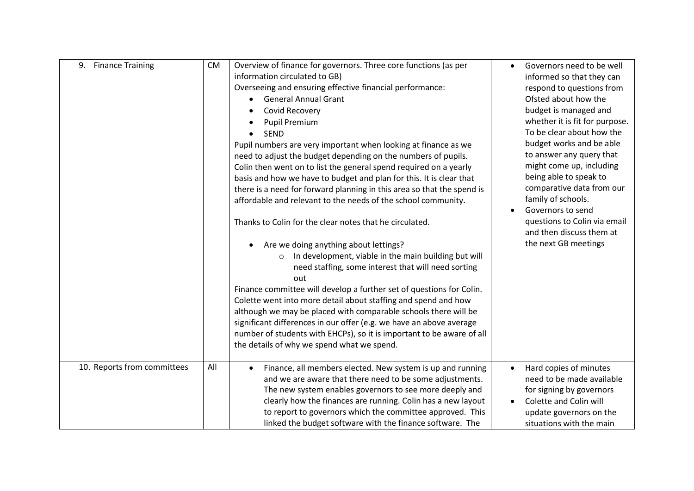| 9. Finance Training         | <b>CM</b> | Overview of finance for governors. Three core functions (as per<br>information circulated to GB) | $\bullet$ | Governors need to be well<br>informed so that they can |
|-----------------------------|-----------|--------------------------------------------------------------------------------------------------|-----------|--------------------------------------------------------|
|                             |           | Overseeing and ensuring effective financial performance:                                         |           | respond to questions from                              |
|                             |           | <b>General Annual Grant</b>                                                                      |           | Ofsted about how the                                   |
|                             |           | Covid Recovery                                                                                   |           | budget is managed and                                  |
|                             |           | <b>Pupil Premium</b>                                                                             |           | whether it is fit for purpose.                         |
|                             |           | <b>SEND</b>                                                                                      |           | To be clear about how the                              |
|                             |           | Pupil numbers are very important when looking at finance as we                                   |           | budget works and be able                               |
|                             |           | need to adjust the budget depending on the numbers of pupils.                                    |           | to answer any query that                               |
|                             |           | Colin then went on to list the general spend required on a yearly                                |           | might come up, including                               |
|                             |           | basis and how we have to budget and plan for this. It is clear that                              |           | being able to speak to                                 |
|                             |           | there is a need for forward planning in this area so that the spend is                           |           | comparative data from our                              |
|                             |           | affordable and relevant to the needs of the school community.                                    |           | family of schools.                                     |
|                             |           |                                                                                                  |           | Governors to send                                      |
|                             |           | Thanks to Colin for the clear notes that he circulated.                                          |           | questions to Colin via email                           |
|                             |           |                                                                                                  |           | and then discuss them at                               |
|                             |           | Are we doing anything about lettings?                                                            |           | the next GB meetings                                   |
|                             |           | In development, viable in the main building but will<br>$\circ$                                  |           |                                                        |
|                             |           | need staffing, some interest that will need sorting                                              |           |                                                        |
|                             |           | out                                                                                              |           |                                                        |
|                             |           | Finance committee will develop a further set of questions for Colin.                             |           |                                                        |
|                             |           | Colette went into more detail about staffing and spend and how                                   |           |                                                        |
|                             |           | although we may be placed with comparable schools there will be                                  |           |                                                        |
|                             |           | significant differences in our offer (e.g. we have an above average                              |           |                                                        |
|                             |           | number of students with EHCPs), so it is important to be aware of all                            |           |                                                        |
|                             |           | the details of why we spend what we spend.                                                       |           |                                                        |
| 10. Reports from committees | All       | Finance, all members elected. New system is up and running                                       | $\bullet$ | Hard copies of minutes                                 |
|                             |           | and we are aware that there need to be some adjustments.                                         |           | need to be made available                              |
|                             |           | The new system enables governors to see more deeply and                                          |           | for signing by governors                               |
|                             |           | clearly how the finances are running. Colin has a new layout                                     |           | Colette and Colin will                                 |
|                             |           | to report to governors which the committee approved. This                                        |           | update governors on the                                |
|                             |           | linked the budget software with the finance software. The                                        |           | situations with the main                               |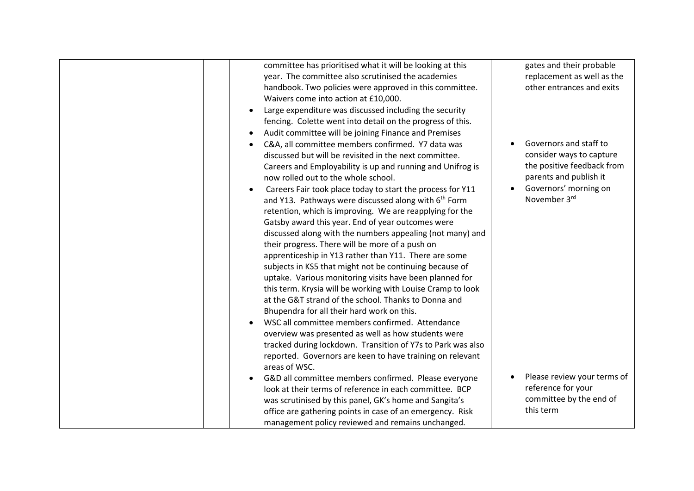| committee has prioritised what it will be looking at this<br>year. The committee also scrutinised the academies<br>handbook. Two policies were approved in this committee.<br>Waivers come into action at £10,000.<br>Large expenditure was discussed including the security<br>$\bullet$<br>fencing. Colette went into detail on the progress of this.<br>Audit committee will be joining Finance and Premises<br>$\bullet$<br>C&A, all committee members confirmed. Y7 data was<br>$\bullet$<br>discussed but will be revisited in the next committee.<br>Careers and Employability is up and running and Unifrog is<br>now rolled out to the whole school.<br>Careers Fair took place today to start the process for Y11<br>$\bullet$<br>and Y13. Pathways were discussed along with 6 <sup>th</sup> Form<br>retention, which is improving. We are reapplying for the<br>Gatsby award this year. End of year outcomes were<br>discussed along with the numbers appealing (not many) and<br>their progress. There will be more of a push on<br>apprenticeship in Y13 rather than Y11. There are some<br>subjects in KS5 that might not be continuing because of<br>uptake. Various monitoring visits have been planned for<br>this term. Krysia will be working with Louise Cramp to look<br>at the G&T strand of the school. Thanks to Donna and<br>Bhupendra for all their hard work on this.<br>WSC all committee members confirmed. Attendance<br>$\bullet$ | gates and their probable<br>replacement as well as the<br>other entrances and exits<br>Governors and staff to<br>consider ways to capture<br>the positive feedback from<br>parents and publish it<br>Governors' morning on<br>$\bullet$<br>November 3rd |
|-------------------------------------------------------------------------------------------------------------------------------------------------------------------------------------------------------------------------------------------------------------------------------------------------------------------------------------------------------------------------------------------------------------------------------------------------------------------------------------------------------------------------------------------------------------------------------------------------------------------------------------------------------------------------------------------------------------------------------------------------------------------------------------------------------------------------------------------------------------------------------------------------------------------------------------------------------------------------------------------------------------------------------------------------------------------------------------------------------------------------------------------------------------------------------------------------------------------------------------------------------------------------------------------------------------------------------------------------------------------------------------------------------------------------------------------------------------------|---------------------------------------------------------------------------------------------------------------------------------------------------------------------------------------------------------------------------------------------------------|
| overview was presented as well as how students were<br>tracked during lockdown. Transition of Y7s to Park was also<br>reported. Governors are keen to have training on relevant<br>areas of WSC.                                                                                                                                                                                                                                                                                                                                                                                                                                                                                                                                                                                                                                                                                                                                                                                                                                                                                                                                                                                                                                                                                                                                                                                                                                                                  |                                                                                                                                                                                                                                                         |
| G&D all committee members confirmed. Please everyone<br>look at their terms of reference in each committee. BCP<br>was scrutinised by this panel, GK's home and Sangita's<br>office are gathering points in case of an emergency. Risk<br>management policy reviewed and remains unchanged.                                                                                                                                                                                                                                                                                                                                                                                                                                                                                                                                                                                                                                                                                                                                                                                                                                                                                                                                                                                                                                                                                                                                                                       | Please review your terms of<br>reference for your<br>committee by the end of<br>this term                                                                                                                                                               |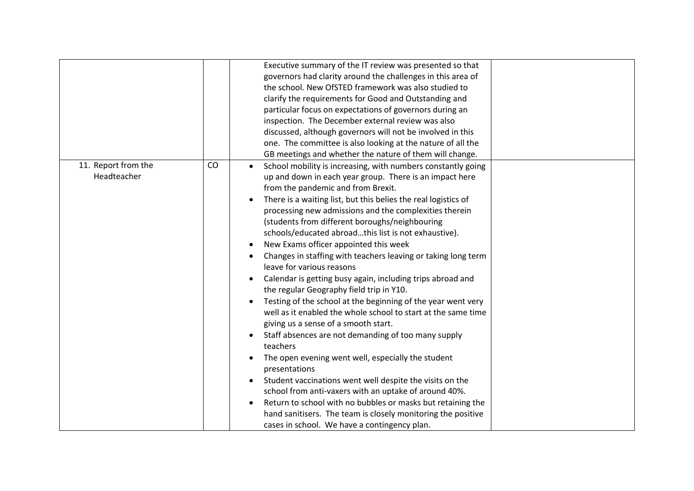| Executive summary of the IT review was presented so that<br>governors had clarity around the challenges in this area of<br>the school. New OfSTED framework was also studied to<br>clarify the requirements for Good and Outstanding and |  |
|------------------------------------------------------------------------------------------------------------------------------------------------------------------------------------------------------------------------------------------|--|
|                                                                                                                                                                                                                                          |  |
|                                                                                                                                                                                                                                          |  |
|                                                                                                                                                                                                                                          |  |
|                                                                                                                                                                                                                                          |  |
| particular focus on expectations of governors during an                                                                                                                                                                                  |  |
| inspection. The December external review was also                                                                                                                                                                                        |  |
| discussed, although governors will not be involved in this                                                                                                                                                                               |  |
| one. The committee is also looking at the nature of all the                                                                                                                                                                              |  |
| GB meetings and whether the nature of them will change.                                                                                                                                                                                  |  |
| 11. Report from the<br>CO<br>School mobility is increasing, with numbers constantly going<br>$\bullet$                                                                                                                                   |  |
| Headteacher<br>up and down in each year group. There is an impact here                                                                                                                                                                   |  |
| from the pandemic and from Brexit.                                                                                                                                                                                                       |  |
| There is a waiting list, but this belies the real logistics of                                                                                                                                                                           |  |
| processing new admissions and the complexities therein                                                                                                                                                                                   |  |
| (students from different boroughs/neighbouring                                                                                                                                                                                           |  |
| schools/educated abroadthis list is not exhaustive).                                                                                                                                                                                     |  |
| New Exams officer appointed this week                                                                                                                                                                                                    |  |
| Changes in staffing with teachers leaving or taking long term                                                                                                                                                                            |  |
| leave for various reasons                                                                                                                                                                                                                |  |
| Calendar is getting busy again, including trips abroad and                                                                                                                                                                               |  |
| the regular Geography field trip in Y10.                                                                                                                                                                                                 |  |
| Testing of the school at the beginning of the year went very                                                                                                                                                                             |  |
| well as it enabled the whole school to start at the same time                                                                                                                                                                            |  |
| giving us a sense of a smooth start.                                                                                                                                                                                                     |  |
| Staff absences are not demanding of too many supply                                                                                                                                                                                      |  |
| teachers                                                                                                                                                                                                                                 |  |
| The open evening went well, especially the student                                                                                                                                                                                       |  |
| presentations                                                                                                                                                                                                                            |  |
| Student vaccinations went well despite the visits on the                                                                                                                                                                                 |  |
| school from anti-vaxers with an uptake of around 40%.                                                                                                                                                                                    |  |
| Return to school with no bubbles or masks but retaining the                                                                                                                                                                              |  |
| hand sanitisers. The team is closely monitoring the positive                                                                                                                                                                             |  |
| cases in school. We have a contingency plan.                                                                                                                                                                                             |  |